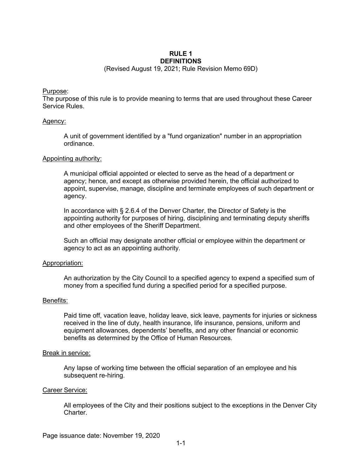#### **RULE 1 DEFINITIONS**

(Revised August 19, 2021; Rule Revision Memo 69D)

## Purpose:

The purpose of this rule is to provide meaning to terms that are used throughout these Career Service Rules.

# Agency:

A unit of government identified by a "fund organization" number in an appropriation ordinance.

### Appointing authority:

A municipal official appointed or elected to serve as the head of a department or agency; hence, and except as otherwise provided herein, the official authorized to appoint, supervise, manage, discipline and terminate employees of such department or agency.

In accordance with § 2.6.4 of the Denver Charter, the Director of Safety is the appointing authority for purposes of hiring, disciplining and terminating deputy sheriffs and other employees of the Sheriff Department.

Such an official may designate another official or employee within the department or agency to act as an appointing authority.

# Appropriation:

An authorization by the City Council to a specified agency to expend a specified sum of money from a specified fund during a specified period for a specified purpose.

### Benefits:

Paid time off, vacation leave, holiday leave, sick leave, payments for injuries or sickness received in the line of duty, health insurance, life insurance, pensions, uniform and equipment allowances, dependents' benefits, and any other financial or economic benefits as determined by the Office of Human Resources.

### Break in service:

Any lapse of working time between the official separation of an employee and his subsequent re-hiring.

## Career Service:

All employees of the City and their positions subject to the exceptions in the Denver City Charter.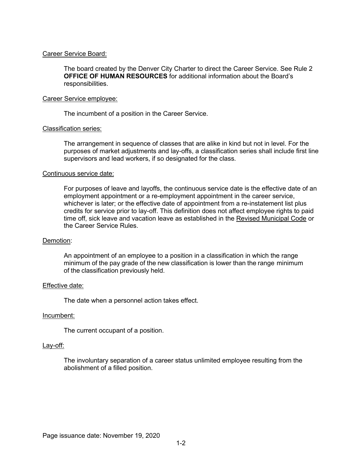# Career Service Board:

The board created by the Denver City Charter to direct the Career Service. See Rule 2 **OFFICE OF HUMAN RESOURCES** for additional information about the Board's responsibilities.

## Career Service employee:

The incumbent of a position in the Career Service.

## Classification series:

The arrangement in sequence of classes that are alike in kind but not in level. For the purposes of market adjustments and lay-offs, a classification series shall include first line supervisors and lead workers, if so designated for the class.

## Continuous service date:

For purposes of leave and layoffs, the continuous service date is the effective date of an employment appointment or a re-employment appointment in the career service, whichever is later; or the effective date of appointment from a re-instatement list plus credits for service prior to lay-off. This definition does not affect employee rights to paid time off, sick leave and vacation leave as established in the Revised Municipal Code or the Career Service Rules.

### Demotion:

An appointment of an employee to a position in a classification in which the range minimum of the pay grade of the new classification is lower than the range minimum of the classification previously held.

# Effective date:

The date when a personnel action takes effect.

### Incumbent:

The current occupant of a position.

# Lay-off:

The involuntary separation of a career status unlimited employee resulting from the abolishment of a filled position.